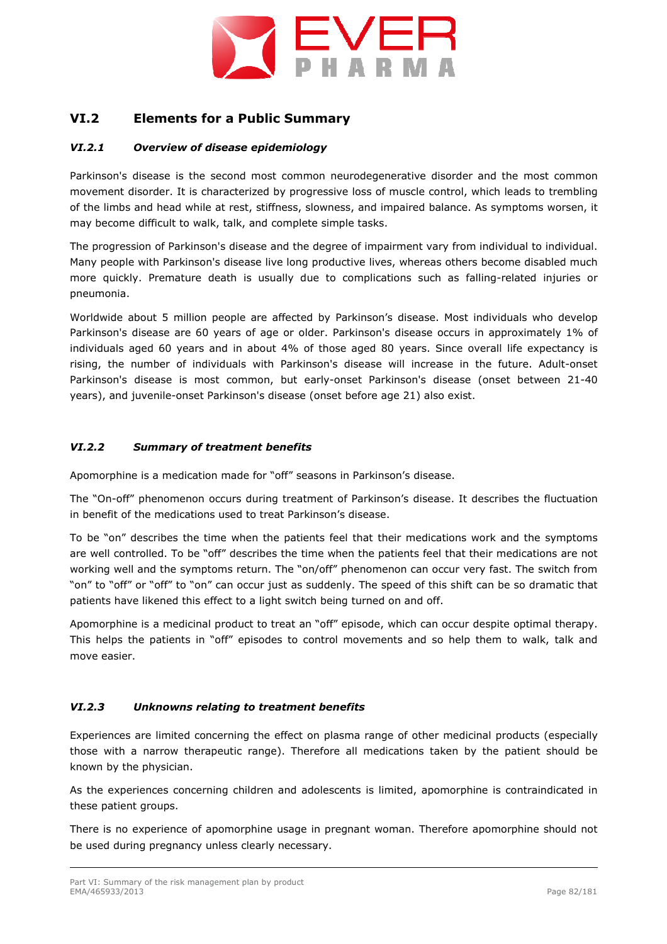

## **VI.2 Elements for a Public Summary**

## *VI.2.1 Overview of disease epidemiology*

Parkinson's disease is the second most common neurodegenerative disorder and the most common movement disorder. It is characterized by progressive loss of muscle control, which leads to trembling of the limbs and head while at rest, stiffness, slowness, and impaired balance. As symptoms worsen, it may become difficult to walk, talk, and complete simple tasks.

The progression of Parkinson's disease and the degree of impairment vary from individual to individual. Many people with Parkinson's disease live long productive lives, whereas others become disabled much more quickly. Premature death is usually due to complications such as falling-related injuries or pneumonia.

Worldwide about 5 million people are affected by Parkinson's disease. Most individuals who develop Parkinson's disease are 60 years of age or older. Parkinson's disease occurs in approximately 1% of individuals aged 60 years and in about 4% of those aged 80 years. Since overall life expectancy is rising, the number of individuals with Parkinson's disease will increase in the future. Adult-onset Parkinson's disease is most common, but early-onset Parkinson's disease (onset between 21-40 years), and juvenile-onset Parkinson's disease (onset before age 21) also exist.

## *VI.2.2 Summary of treatment benefits*

Apomorphine is a medication made for "off" seasons in Parkinson's disease.

The "On-off" phenomenon occurs during treatment of Parkinson's disease. It describes the fluctuation in benefit of the medications used to treat Parkinson's disease.

To be "on" describes the time when the patients feel that their medications work and the symptoms are well controlled. To be "off" describes the time when the patients feel that their medications are not working well and the symptoms return. The "on/off" phenomenon can occur very fast. The switch from "on" to "off" or "off" to "on" can occur just as suddenly. The speed of this shift can be so dramatic that patients have likened this effect to a light switch being turned on and off.

Apomorphine is a medicinal product to treat an "off" episode, which can occur despite optimal therapy. This helps the patients in "off" episodes to control movements and so help them to walk, talk and move easier.

## *VI.2.3 Unknowns relating to treatment benefits*

Experiences are limited concerning the effect on plasma range of other medicinal products (especially those with a narrow therapeutic range). Therefore all medications taken by the patient should be known by the physician.

As the experiences concerning children and adolescents is limited, apomorphine is contraindicated in these patient groups.

There is no experience of apomorphine usage in pregnant woman. Therefore apomorphine should not be used during pregnancy unless clearly necessary.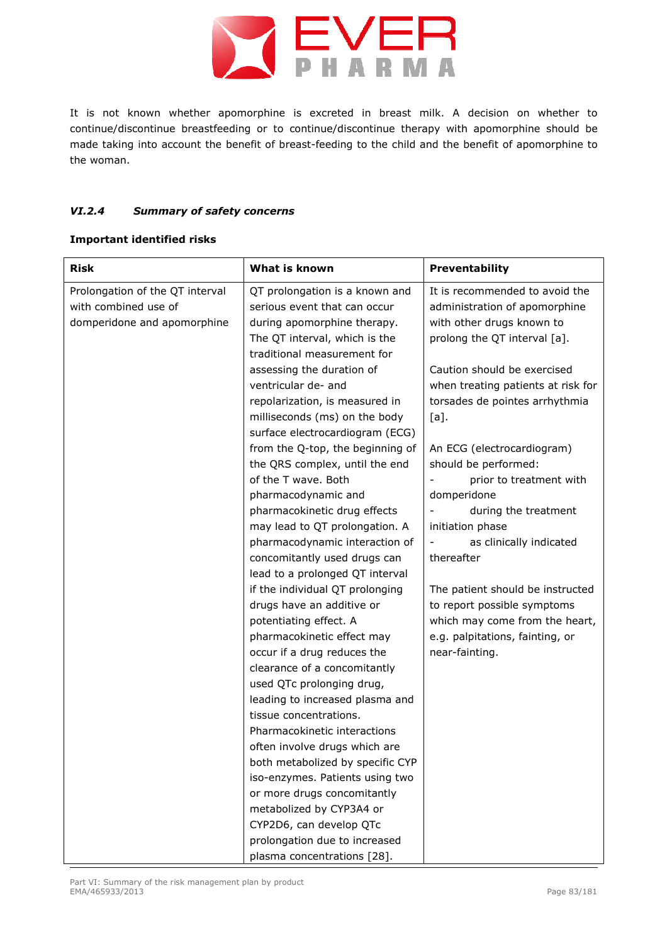

It is not known whether apomorphine is excreted in breast milk. A decision on whether to continue/discontinue breastfeeding or to continue/discontinue therapy with apomorphine should be made taking into account the benefit of breast-feeding to the child and the benefit of apomorphine to the woman.

## *VI.2.4 Summary of safety concerns*

## **Important identified risks**

| <b>Risk</b>                                                                            | What is known                                                                                                                                                                                                     | Preventability                                                                                                                                                                                    |
|----------------------------------------------------------------------------------------|-------------------------------------------------------------------------------------------------------------------------------------------------------------------------------------------------------------------|---------------------------------------------------------------------------------------------------------------------------------------------------------------------------------------------------|
| Prolongation of the QT interval<br>with combined use of<br>domperidone and apomorphine | QT prolongation is a known and<br>serious event that can occur<br>during apomorphine therapy.<br>The QT interval, which is the<br>traditional measurement for<br>assessing the duration of<br>ventricular de- and | It is recommended to avoid the<br>administration of apomorphine<br>with other drugs known to<br>prolong the QT interval [a].<br>Caution should be exercised<br>when treating patients at risk for |
|                                                                                        | repolarization, is measured in<br>milliseconds (ms) on the body<br>surface electrocardiogram (ECG)                                                                                                                | torsades de pointes arrhythmia<br>$[a]$ .                                                                                                                                                         |
|                                                                                        | from the Q-top, the beginning of<br>the QRS complex, until the end<br>of the T wave. Both<br>pharmacodynamic and                                                                                                  | An ECG (electrocardiogram)<br>should be performed:<br>prior to treatment with<br>domperidone                                                                                                      |
|                                                                                        | pharmacokinetic drug effects<br>may lead to QT prolongation. A<br>pharmacodynamic interaction of<br>concomitantly used drugs can                                                                                  | during the treatment<br>initiation phase<br>as clinically indicated<br>thereafter                                                                                                                 |
|                                                                                        | lead to a prolonged QT interval<br>if the individual QT prolonging<br>drugs have an additive or<br>potentiating effect. A                                                                                         | The patient should be instructed<br>to report possible symptoms<br>which may come from the heart,                                                                                                 |
|                                                                                        | pharmacokinetic effect may<br>occur if a drug reduces the<br>clearance of a concomitantly<br>used QTc prolonging drug,                                                                                            | e.g. palpitations, fainting, or<br>near-fainting.                                                                                                                                                 |
|                                                                                        | leading to increased plasma and<br>tissue concentrations.<br>Pharmacokinetic interactions<br>often involve drugs which are                                                                                        |                                                                                                                                                                                                   |
|                                                                                        | both metabolized by specific CYP<br>iso-enzymes. Patients using two<br>or more drugs concomitantly                                                                                                                |                                                                                                                                                                                                   |
|                                                                                        | metabolized by CYP3A4 or<br>CYP2D6, can develop QTc<br>prolongation due to increased<br>plasma concentrations [28].                                                                                               |                                                                                                                                                                                                   |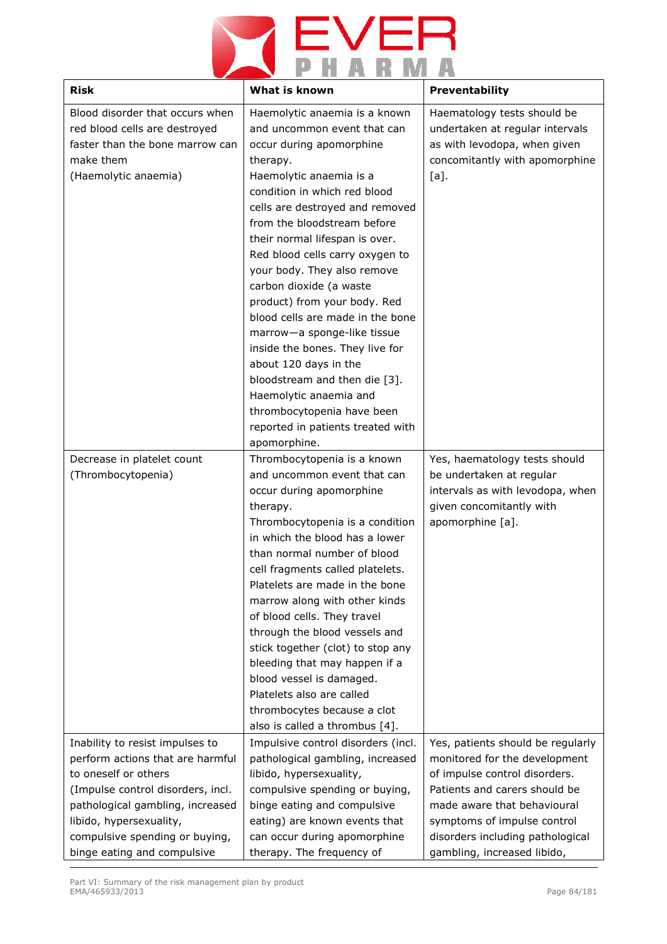

| <b>Risk</b>                                                                                                                                                                                                                                                      | What is known                                                                                                                                                                                                                                                                                                                                                                                                                                                                                                                                                                                                                                                                 | <b>Preventability</b>                                                                                                                                                                                                                                                 |
|------------------------------------------------------------------------------------------------------------------------------------------------------------------------------------------------------------------------------------------------------------------|-------------------------------------------------------------------------------------------------------------------------------------------------------------------------------------------------------------------------------------------------------------------------------------------------------------------------------------------------------------------------------------------------------------------------------------------------------------------------------------------------------------------------------------------------------------------------------------------------------------------------------------------------------------------------------|-----------------------------------------------------------------------------------------------------------------------------------------------------------------------------------------------------------------------------------------------------------------------|
| Blood disorder that occurs when<br>red blood cells are destroyed<br>faster than the bone marrow can<br>make them<br>(Haemolytic anaemia)                                                                                                                         | Haemolytic anaemia is a known<br>and uncommon event that can<br>occur during apomorphine<br>therapy.<br>Haemolytic anaemia is a<br>condition in which red blood<br>cells are destroyed and removed<br>from the bloodstream before<br>their normal lifespan is over.<br>Red blood cells carry oxygen to<br>your body. They also remove<br>carbon dioxide (a waste<br>product) from your body. Red<br>blood cells are made in the bone<br>marrow-a sponge-like tissue<br>inside the bones. They live for<br>about 120 days in the<br>bloodstream and then die [3].<br>Haemolytic anaemia and<br>thrombocytopenia have been<br>reported in patients treated with<br>apomorphine. | Haematology tests should be<br>undertaken at regular intervals<br>as with levodopa, when given<br>concomitantly with apomorphine<br>$[a]$ .                                                                                                                           |
| Decrease in platelet count<br>(Thrombocytopenia)                                                                                                                                                                                                                 | Thrombocytopenia is a known<br>and uncommon event that can<br>occur during apomorphine<br>therapy.<br>Thrombocytopenia is a condition<br>in which the blood has a lower<br>than normal number of blood<br>cell fragments called platelets.<br>Platelets are made in the bone<br>marrow along with other kinds<br>of blood cells. They travel<br>through the blood vessels and<br>stick together (clot) to stop any<br>bleeding that may happen if a<br>blood vessel is damaged.<br>Platelets also are called<br>thrombocytes because a clot<br>also is called a thrombus [4].                                                                                                 | Yes, haematology tests should<br>be undertaken at regular<br>intervals as with levodopa, when<br>given concomitantly with<br>apomorphine [a].                                                                                                                         |
| Inability to resist impulses to<br>perform actions that are harmful<br>to oneself or others<br>(Impulse control disorders, incl.<br>pathological gambling, increased<br>libido, hypersexuality,<br>compulsive spending or buying,<br>binge eating and compulsive | Impulsive control disorders (incl.<br>pathological gambling, increased<br>libido, hypersexuality,<br>compulsive spending or buying,<br>binge eating and compulsive<br>eating) are known events that<br>can occur during apomorphine<br>therapy. The frequency of                                                                                                                                                                                                                                                                                                                                                                                                              | Yes, patients should be regularly<br>monitored for the development<br>of impulse control disorders.<br>Patients and carers should be<br>made aware that behavioural<br>symptoms of impulse control<br>disorders including pathological<br>gambling, increased libido, |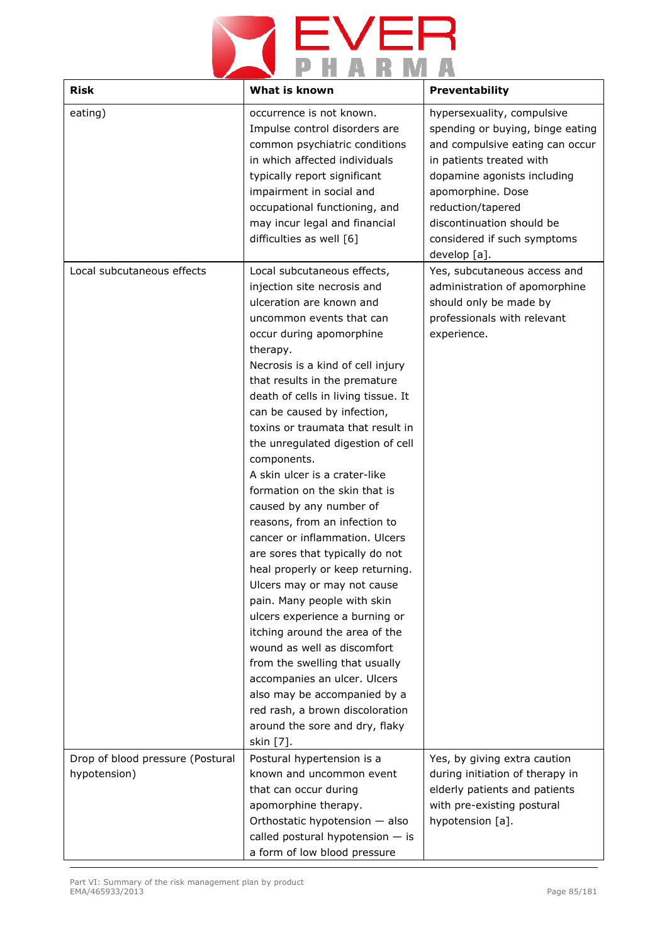

| <b>Risk</b>                                      | What is known                                                                                                                                                                                                                                                                                                                                                                                                                                                                                                                                                                                                                                                                                                                                                                                                                                                                                                                                                                               | Preventability                                                                                                                                                                                                                                                                     |
|--------------------------------------------------|---------------------------------------------------------------------------------------------------------------------------------------------------------------------------------------------------------------------------------------------------------------------------------------------------------------------------------------------------------------------------------------------------------------------------------------------------------------------------------------------------------------------------------------------------------------------------------------------------------------------------------------------------------------------------------------------------------------------------------------------------------------------------------------------------------------------------------------------------------------------------------------------------------------------------------------------------------------------------------------------|------------------------------------------------------------------------------------------------------------------------------------------------------------------------------------------------------------------------------------------------------------------------------------|
| eating)                                          | occurrence is not known.<br>Impulse control disorders are<br>common psychiatric conditions<br>in which affected individuals<br>typically report significant<br>impairment in social and<br>occupational functioning, and<br>may incur legal and financial<br>difficulties as well [6]                                                                                                                                                                                                                                                                                                                                                                                                                                                                                                                                                                                                                                                                                                       | hypersexuality, compulsive<br>spending or buying, binge eating<br>and compulsive eating can occur<br>in patients treated with<br>dopamine agonists including<br>apomorphine. Dose<br>reduction/tapered<br>discontinuation should be<br>considered if such symptoms<br>develop [a]. |
| Local subcutaneous effects                       | Local subcutaneous effects,<br>injection site necrosis and<br>ulceration are known and<br>uncommon events that can<br>occur during apomorphine<br>therapy.<br>Necrosis is a kind of cell injury<br>that results in the premature<br>death of cells in living tissue. It<br>can be caused by infection,<br>toxins or traumata that result in<br>the unregulated digestion of cell<br>components.<br>A skin ulcer is a crater-like<br>formation on the skin that is<br>caused by any number of<br>reasons, from an infection to<br>cancer or inflammation. Ulcers<br>are sores that typically do not<br>heal properly or keep returning.<br>Ulcers may or may not cause<br>pain. Many people with skin<br>ulcers experience a burning or<br>itching around the area of the<br>wound as well as discomfort<br>from the swelling that usually<br>accompanies an ulcer. Ulcers<br>also may be accompanied by a<br>red rash, a brown discoloration<br>around the sore and dry, flaky<br>skin [7]. | Yes, subcutaneous access and<br>administration of apomorphine<br>should only be made by<br>professionals with relevant<br>experience.                                                                                                                                              |
| Drop of blood pressure (Postural<br>hypotension) | Postural hypertension is a<br>known and uncommon event<br>that can occur during<br>apomorphine therapy.<br>Orthostatic hypotension - also<br>called postural hypotension $-$ is<br>a form of low blood pressure                                                                                                                                                                                                                                                                                                                                                                                                                                                                                                                                                                                                                                                                                                                                                                             | Yes, by giving extra caution<br>during initiation of therapy in<br>elderly patients and patients<br>with pre-existing postural<br>hypotension [a].                                                                                                                                 |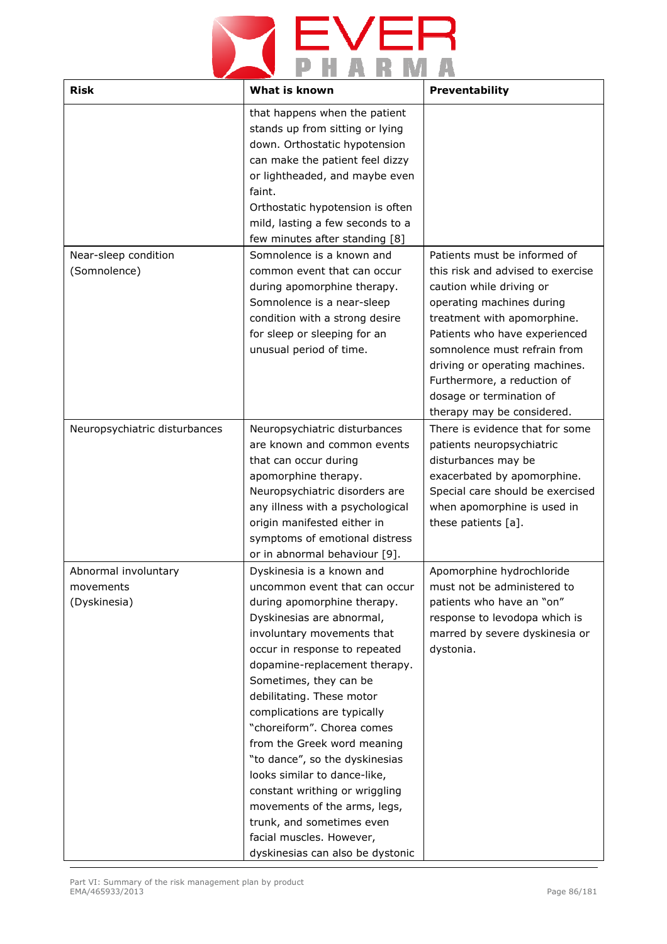## **YEVER**

| <b>Risk</b>                                       | What is known                                                                                                                                                                                                                                                                                                                                                                                                                                                                                                                                                                                              | Preventability                                                                                                                                                                                                                                                                                                                                        |
|---------------------------------------------------|------------------------------------------------------------------------------------------------------------------------------------------------------------------------------------------------------------------------------------------------------------------------------------------------------------------------------------------------------------------------------------------------------------------------------------------------------------------------------------------------------------------------------------------------------------------------------------------------------------|-------------------------------------------------------------------------------------------------------------------------------------------------------------------------------------------------------------------------------------------------------------------------------------------------------------------------------------------------------|
|                                                   | that happens when the patient<br>stands up from sitting or lying<br>down. Orthostatic hypotension<br>can make the patient feel dizzy<br>or lightheaded, and maybe even<br>faint.<br>Orthostatic hypotension is often<br>mild, lasting a few seconds to a<br>few minutes after standing [8]                                                                                                                                                                                                                                                                                                                 |                                                                                                                                                                                                                                                                                                                                                       |
| Near-sleep condition<br>(Somnolence)              | Somnolence is a known and<br>common event that can occur<br>during apomorphine therapy.<br>Somnolence is a near-sleep<br>condition with a strong desire<br>for sleep or sleeping for an<br>unusual period of time.                                                                                                                                                                                                                                                                                                                                                                                         | Patients must be informed of<br>this risk and advised to exercise<br>caution while driving or<br>operating machines during<br>treatment with apomorphine.<br>Patients who have experienced<br>somnolence must refrain from<br>driving or operating machines.<br>Furthermore, a reduction of<br>dosage or termination of<br>therapy may be considered. |
| Neuropsychiatric disturbances                     | Neuropsychiatric disturbances<br>are known and common events<br>that can occur during<br>apomorphine therapy.<br>Neuropsychiatric disorders are<br>any illness with a psychological<br>origin manifested either in<br>symptoms of emotional distress<br>or in abnormal behaviour [9].                                                                                                                                                                                                                                                                                                                      | There is evidence that for some<br>patients neuropsychiatric<br>disturbances may be<br>exacerbated by apomorphine.<br>Special care should be exercised<br>when apomorphine is used in<br>these patients [a].                                                                                                                                          |
| Abnormal involuntary<br>movements<br>(Dyskinesia) | Dyskinesia is a known and<br>uncommon event that can occur<br>during apomorphine therapy.<br>Dyskinesias are abnormal,<br>involuntary movements that<br>occur in response to repeated<br>dopamine-replacement therapy.<br>Sometimes, they can be<br>debilitating. These motor<br>complications are typically<br>"choreiform". Chorea comes<br>from the Greek word meaning<br>"to dance", so the dyskinesias<br>looks similar to dance-like,<br>constant writhing or wriggling<br>movements of the arms, legs,<br>trunk, and sometimes even<br>facial muscles. However,<br>dyskinesias can also be dystonic | Apomorphine hydrochloride<br>must not be administered to<br>patients who have an "on"<br>response to levodopa which is<br>marred by severe dyskinesia or<br>dystonia.                                                                                                                                                                                 |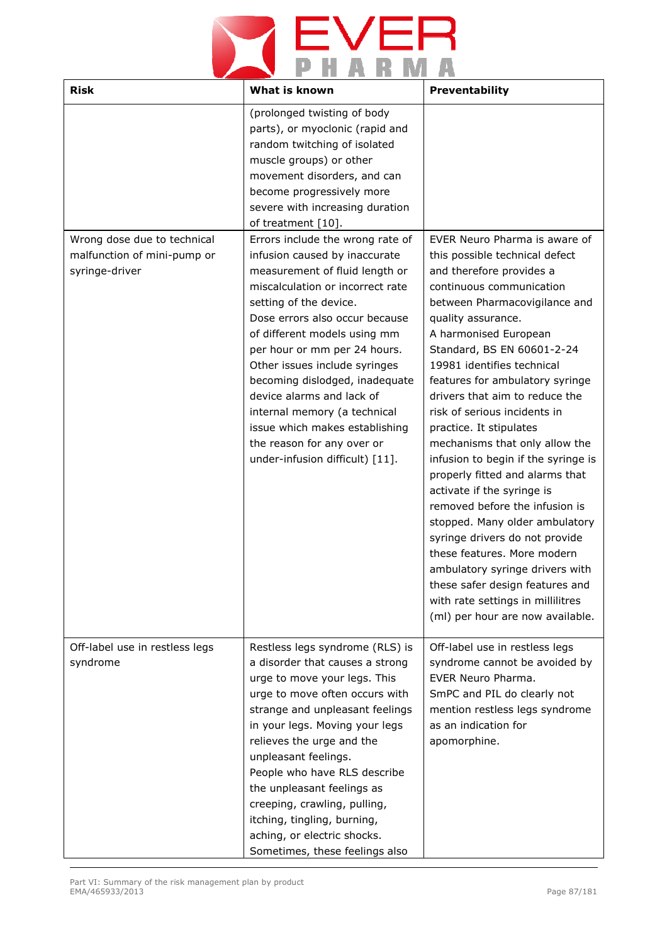# **YEVER**

| <b>Risk</b>                                                                  | What is known                                                                                                                                                                                                                                                                                                                                                                                                                                                                                          | Preventability                                                                                                                                                                                                                                                                                                                                                                                                                                                                                                                                                                                                                                                                                                                                                                                                                    |
|------------------------------------------------------------------------------|--------------------------------------------------------------------------------------------------------------------------------------------------------------------------------------------------------------------------------------------------------------------------------------------------------------------------------------------------------------------------------------------------------------------------------------------------------------------------------------------------------|-----------------------------------------------------------------------------------------------------------------------------------------------------------------------------------------------------------------------------------------------------------------------------------------------------------------------------------------------------------------------------------------------------------------------------------------------------------------------------------------------------------------------------------------------------------------------------------------------------------------------------------------------------------------------------------------------------------------------------------------------------------------------------------------------------------------------------------|
|                                                                              | (prolonged twisting of body<br>parts), or myoclonic (rapid and<br>random twitching of isolated<br>muscle groups) or other<br>movement disorders, and can<br>become progressively more<br>severe with increasing duration<br>of treatment [10].                                                                                                                                                                                                                                                         |                                                                                                                                                                                                                                                                                                                                                                                                                                                                                                                                                                                                                                                                                                                                                                                                                                   |
| Wrong dose due to technical<br>malfunction of mini-pump or<br>syringe-driver | Errors include the wrong rate of<br>infusion caused by inaccurate<br>measurement of fluid length or<br>miscalculation or incorrect rate<br>setting of the device.<br>Dose errors also occur because<br>of different models using mm<br>per hour or mm per 24 hours.<br>Other issues include syringes<br>becoming dislodged, inadequate<br>device alarms and lack of<br>internal memory (a technical<br>issue which makes establishing<br>the reason for any over or<br>under-infusion difficult) [11]. | EVER Neuro Pharma is aware of<br>this possible technical defect<br>and therefore provides a<br>continuous communication<br>between Pharmacovigilance and<br>quality assurance.<br>A harmonised European<br>Standard, BS EN 60601-2-24<br>19981 identifies technical<br>features for ambulatory syringe<br>drivers that aim to reduce the<br>risk of serious incidents in<br>practice. It stipulates<br>mechanisms that only allow the<br>infusion to begin if the syringe is<br>properly fitted and alarms that<br>activate if the syringe is<br>removed before the infusion is<br>stopped. Many older ambulatory<br>syringe drivers do not provide<br>these features. More modern<br>ambulatory syringe drivers with<br>these safer design features and<br>with rate settings in millilitres<br>(ml) per hour are now available. |
| Off-label use in restless legs<br>syndrome                                   | Restless legs syndrome (RLS) is<br>a disorder that causes a strong<br>urge to move your legs. This<br>urge to move often occurs with<br>strange and unpleasant feelings<br>in your legs. Moving your legs<br>relieves the urge and the<br>unpleasant feelings.<br>People who have RLS describe<br>the unpleasant feelings as<br>creeping, crawling, pulling,<br>itching, tingling, burning,<br>aching, or electric shocks.<br>Sometimes, these feelings also                                           | Off-label use in restless legs<br>syndrome cannot be avoided by<br>EVER Neuro Pharma.<br>SmPC and PIL do clearly not<br>mention restless legs syndrome<br>as an indication for<br>apomorphine.                                                                                                                                                                                                                                                                                                                                                                                                                                                                                                                                                                                                                                    |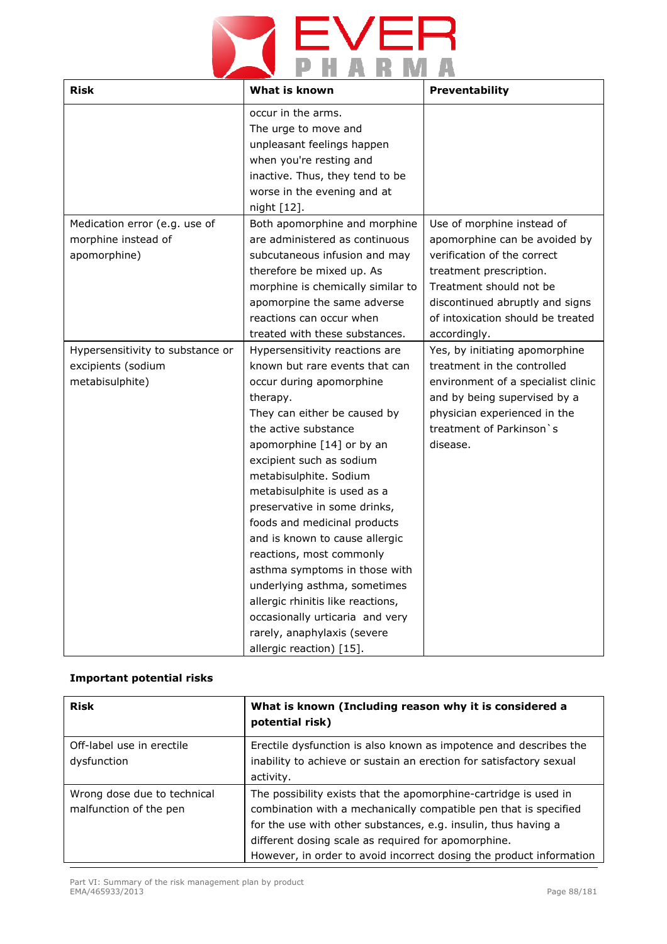# **YEVER**

| <b>Risk</b>                                                               | What is known                                                                                                                                                                                                                                                                                                                                                                                                                                                                                                                                                                                                        | Preventability                                                                                                                                                                                                                           |
|---------------------------------------------------------------------------|----------------------------------------------------------------------------------------------------------------------------------------------------------------------------------------------------------------------------------------------------------------------------------------------------------------------------------------------------------------------------------------------------------------------------------------------------------------------------------------------------------------------------------------------------------------------------------------------------------------------|------------------------------------------------------------------------------------------------------------------------------------------------------------------------------------------------------------------------------------------|
|                                                                           | occur in the arms.<br>The urge to move and<br>unpleasant feelings happen<br>when you're resting and<br>inactive. Thus, they tend to be<br>worse in the evening and at<br>night [12].                                                                                                                                                                                                                                                                                                                                                                                                                                 |                                                                                                                                                                                                                                          |
| Medication error (e.g. use of<br>morphine instead of<br>apomorphine)      | Both apomorphine and morphine<br>are administered as continuous<br>subcutaneous infusion and may<br>therefore be mixed up. As<br>morphine is chemically similar to<br>apomorpine the same adverse<br>reactions can occur when<br>treated with these substances.                                                                                                                                                                                                                                                                                                                                                      | Use of morphine instead of<br>apomorphine can be avoided by<br>verification of the correct<br>treatment prescription.<br>Treatment should not be<br>discontinued abruptly and signs<br>of intoxication should be treated<br>accordingly. |
| Hypersensitivity to substance or<br>excipients (sodium<br>metabisulphite) | Hypersensitivity reactions are<br>known but rare events that can<br>occur during apomorphine<br>therapy.<br>They can either be caused by<br>the active substance<br>apomorphine [14] or by an<br>excipient such as sodium<br>metabisulphite. Sodium<br>metabisulphite is used as a<br>preservative in some drinks,<br>foods and medicinal products<br>and is known to cause allergic<br>reactions, most commonly<br>asthma symptoms in those with<br>underlying asthma, sometimes<br>allergic rhinitis like reactions,<br>occasionally urticaria and very<br>rarely, anaphylaxis (severe<br>allergic reaction) [15]. | Yes, by initiating apomorphine<br>treatment in the controlled<br>environment of a specialist clinic<br>and by being supervised by a<br>physician experienced in the<br>treatment of Parkinson `s<br>disease.                             |

## **Important potential risks**

| <b>Risk</b>                 | What is known (Including reason why it is considered a<br>potential risk) |
|-----------------------------|---------------------------------------------------------------------------|
| Off-label use in erectile   | Erectile dysfunction is also known as impotence and describes the         |
| dysfunction                 | inability to achieve or sustain an erection for satisfactory sexual       |
|                             | activity.                                                                 |
| Wrong dose due to technical | The possibility exists that the apomorphine-cartridge is used in          |
| malfunction of the pen      | combination with a mechanically compatible pen that is specified          |
|                             | for the use with other substances, e.g. insulin, thus having a            |
|                             | different dosing scale as required for apomorphine.                       |
|                             | However, in order to avoid incorrect dosing the product information       |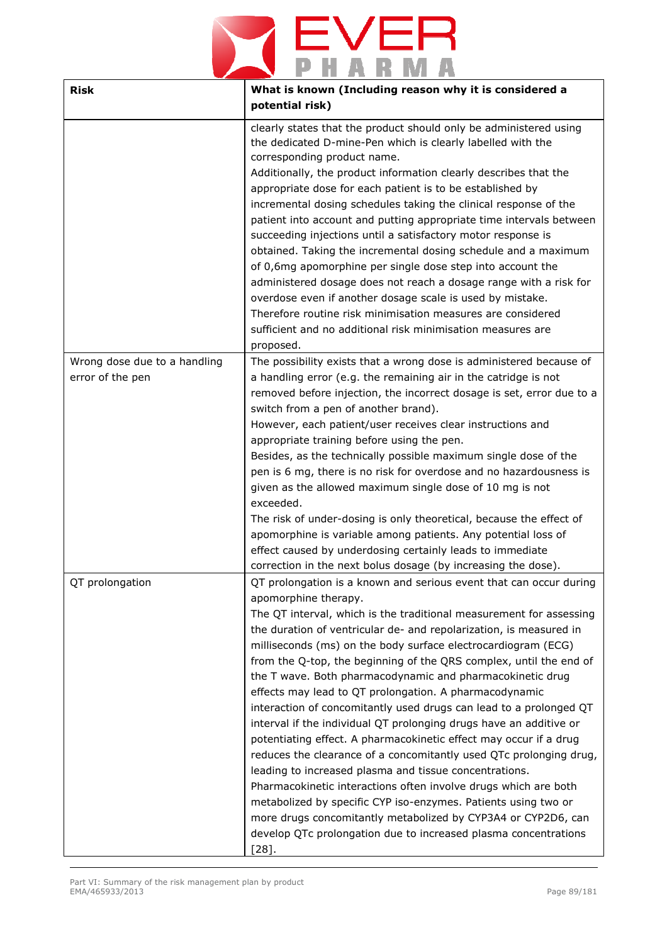## $E_{\text{H}}$  $\blacktriangleright$ Е  $\blacktriangleright$ R

| <b>Risk</b>                                      | What is known (Including reason why it is considered a<br>potential risk)                                                                                                                                                                                                                                                                                                                                                                                                                                                                                                                                                                                                                                                                                                                                                                                                                                                                                                                                                                                                                                                                   |  |
|--------------------------------------------------|---------------------------------------------------------------------------------------------------------------------------------------------------------------------------------------------------------------------------------------------------------------------------------------------------------------------------------------------------------------------------------------------------------------------------------------------------------------------------------------------------------------------------------------------------------------------------------------------------------------------------------------------------------------------------------------------------------------------------------------------------------------------------------------------------------------------------------------------------------------------------------------------------------------------------------------------------------------------------------------------------------------------------------------------------------------------------------------------------------------------------------------------|--|
|                                                  | clearly states that the product should only be administered using<br>the dedicated D-mine-Pen which is clearly labelled with the<br>corresponding product name.<br>Additionally, the product information clearly describes that the<br>appropriate dose for each patient is to be established by<br>incremental dosing schedules taking the clinical response of the<br>patient into account and putting appropriate time intervals between<br>succeeding injections until a satisfactory motor response is<br>obtained. Taking the incremental dosing schedule and a maximum<br>of 0,6mg apomorphine per single dose step into account the<br>administered dosage does not reach a dosage range with a risk for<br>overdose even if another dosage scale is used by mistake.<br>Therefore routine risk minimisation measures are considered<br>sufficient and no additional risk minimisation measures are<br>proposed.                                                                                                                                                                                                                    |  |
| Wrong dose due to a handling<br>error of the pen | The possibility exists that a wrong dose is administered because of<br>a handling error (e.g. the remaining air in the catridge is not<br>removed before injection, the incorrect dosage is set, error due to a<br>switch from a pen of another brand).<br>However, each patient/user receives clear instructions and<br>appropriate training before using the pen.<br>Besides, as the technically possible maximum single dose of the<br>pen is 6 mg, there is no risk for overdose and no hazardousness is<br>given as the allowed maximum single dose of 10 mg is not<br>exceeded.<br>The risk of under-dosing is only theoretical, because the effect of<br>apomorphine is variable among patients. Any potential loss of<br>effect caused by underdosing certainly leads to immediate<br>correction in the next bolus dosage (by increasing the dose).                                                                                                                                                                                                                                                                                 |  |
| QT prolongation                                  | QT prolongation is a known and serious event that can occur during<br>apomorphine therapy.<br>The QT interval, which is the traditional measurement for assessing<br>the duration of ventricular de- and repolarization, is measured in<br>milliseconds (ms) on the body surface electrocardiogram (ECG)<br>from the Q-top, the beginning of the QRS complex, until the end of<br>the T wave. Both pharmacodynamic and pharmacokinetic drug<br>effects may lead to QT prolongation. A pharmacodynamic<br>interaction of concomitantly used drugs can lead to a prolonged QT<br>interval if the individual QT prolonging drugs have an additive or<br>potentiating effect. A pharmacokinetic effect may occur if a drug<br>reduces the clearance of a concomitantly used QTc prolonging drug,<br>leading to increased plasma and tissue concentrations.<br>Pharmacokinetic interactions often involve drugs which are both<br>metabolized by specific CYP iso-enzymes. Patients using two or<br>more drugs concomitantly metabolized by CYP3A4 or CYP2D6, can<br>develop QTc prolongation due to increased plasma concentrations<br>$[28]$ . |  |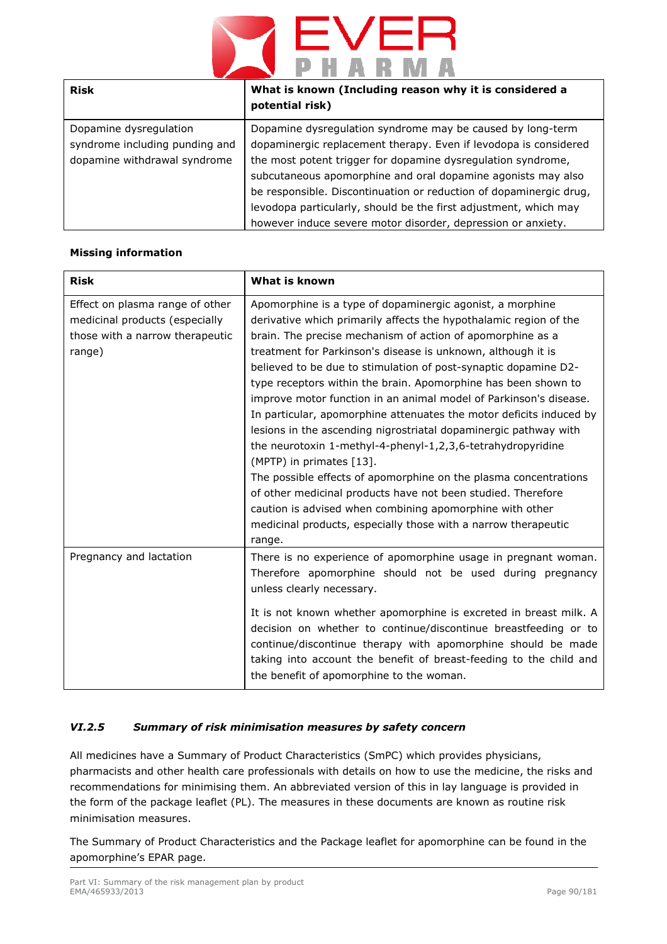

| Risk                           | What is known (Including reason why it is considered a<br>potential risk) |
|--------------------------------|---------------------------------------------------------------------------|
| Dopamine dysregulation         | Dopamine dysregulation syndrome may be caused by long-term                |
| syndrome including punding and | dopaminergic replacement therapy. Even if levodopa is considered          |
| dopamine withdrawal syndrome   | the most potent trigger for dopamine dysregulation syndrome,              |
|                                | subcutaneous apomorphine and oral dopamine agonists may also              |
|                                | be responsible. Discontinuation or reduction of dopaminergic drug,        |
|                                | levodopa particularly, should be the first adjustment, which may          |
|                                | however induce severe motor disorder, depression or anxiety.              |

## **Missing information**

| <b>Risk</b>                                                                                                    | What is known                                                                                                                                                                                                                                                                                                                                                                                                                                                                                                                                                                                                                                                                                                                                                                                                                                                                                                                                                                            |
|----------------------------------------------------------------------------------------------------------------|------------------------------------------------------------------------------------------------------------------------------------------------------------------------------------------------------------------------------------------------------------------------------------------------------------------------------------------------------------------------------------------------------------------------------------------------------------------------------------------------------------------------------------------------------------------------------------------------------------------------------------------------------------------------------------------------------------------------------------------------------------------------------------------------------------------------------------------------------------------------------------------------------------------------------------------------------------------------------------------|
| Effect on plasma range of other<br>medicinal products (especially<br>those with a narrow therapeutic<br>range) | Apomorphine is a type of dopaminergic agonist, a morphine<br>derivative which primarily affects the hypothalamic region of the<br>brain. The precise mechanism of action of apomorphine as a<br>treatment for Parkinson's disease is unknown, although it is<br>believed to be due to stimulation of post-synaptic dopamine D2-<br>type receptors within the brain. Apomorphine has been shown to<br>improve motor function in an animal model of Parkinson's disease.<br>In particular, apomorphine attenuates the motor deficits induced by<br>lesions in the ascending nigrostriatal dopaminergic pathway with<br>the neurotoxin 1-methyl-4-phenyl-1,2,3,6-tetrahydropyridine<br>(MPTP) in primates [13].<br>The possible effects of apomorphine on the plasma concentrations<br>of other medicinal products have not been studied. Therefore<br>caution is advised when combining apomorphine with other<br>medicinal products, especially those with a narrow therapeutic<br>range. |
| Pregnancy and lactation                                                                                        | There is no experience of apomorphine usage in pregnant woman.<br>Therefore apomorphine should not be used during pregnancy<br>unless clearly necessary.<br>It is not known whether apomorphine is excreted in breast milk. A<br>decision on whether to continue/discontinue breastfeeding or to<br>continue/discontinue therapy with apomorphine should be made<br>taking into account the benefit of breast-feeding to the child and<br>the benefit of apomorphine to the woman.                                                                                                                                                                                                                                                                                                                                                                                                                                                                                                       |

## *VI.2.5 Summary of risk minimisation measures by safety concern*

All medicines have a Summary of Product Characteristics (SmPC) which provides physicians, pharmacists and other health care professionals with details on how to use the medicine, the risks and recommendations for minimising them. An abbreviated version of this in lay language is provided in the form of the package leaflet (PL). The measures in these documents are known as routine risk minimisation measures.

The Summary of Product Characteristics and the Package leaflet for apomorphine can be found in the apomorphine's EPAR page.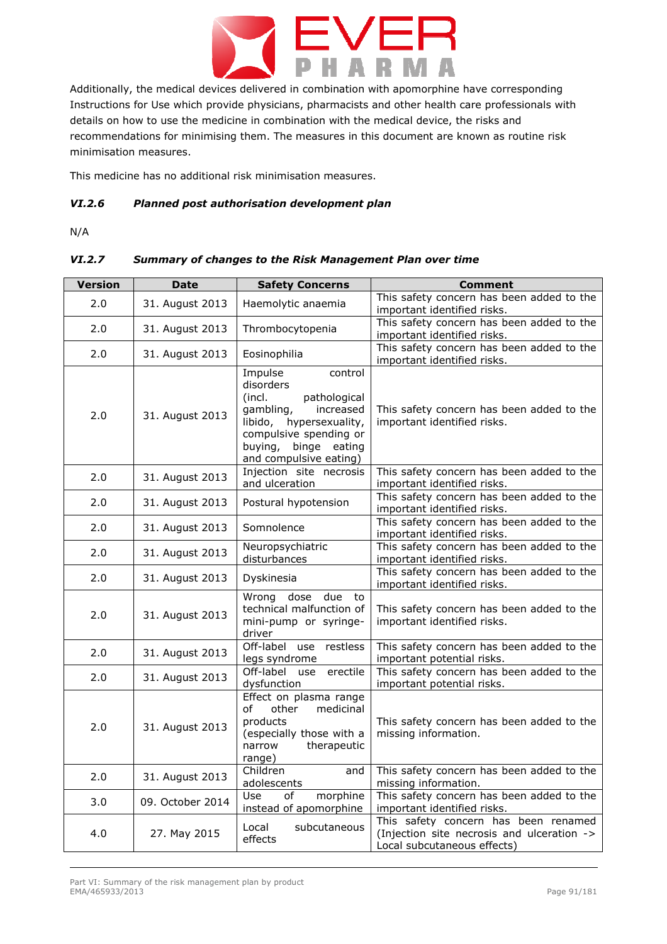

Additionally, the medical devices delivered in combination with apomorphine have corresponding Instructions for Use which provide physicians, pharmacists and other health care professionals with details on how to use the medicine in combination with the medical device, the risks and recommendations for minimising them. The measures in this document are known as routine risk minimisation measures.

This medicine has no additional risk minimisation measures.

### *VI.2.6 Planned post authorisation development plan*

N/A

## *VI.2.7 Summary of changes to the Risk Management Plan over time*

| <b>Version</b> | <b>Date</b>      | <b>Safety Concerns</b>                                                                                                                                                                        | <b>Comment</b>                                                                                                    |
|----------------|------------------|-----------------------------------------------------------------------------------------------------------------------------------------------------------------------------------------------|-------------------------------------------------------------------------------------------------------------------|
| 2.0            | 31. August 2013  | Haemolytic anaemia                                                                                                                                                                            | This safety concern has been added to the<br>important identified risks.                                          |
| 2.0            | 31. August 2013  | Thrombocytopenia                                                                                                                                                                              | This safety concern has been added to the<br>important identified risks.                                          |
| 2.0            | 31. August 2013  | Eosinophilia                                                                                                                                                                                  | This safety concern has been added to the<br>important identified risks.                                          |
| 2.0            | 31. August 2013  | Impulse<br>control<br>disorders<br>(incl.<br>pathological<br>gambling,<br>increased<br>libido, hypersexuality,<br>compulsive spending or<br>buying,<br>binge eating<br>and compulsive eating) | This safety concern has been added to the<br>important identified risks.                                          |
| 2.0            | 31. August 2013  | Injection site necrosis<br>and ulceration                                                                                                                                                     | This safety concern has been added to the<br>important identified risks.                                          |
| 2.0            | 31. August 2013  | Postural hypotension                                                                                                                                                                          | This safety concern has been added to the<br>important identified risks.                                          |
| 2.0            | 31. August 2013  | Somnolence                                                                                                                                                                                    | This safety concern has been added to the<br>important identified risks.                                          |
| 2.0            | 31. August 2013  | Neuropsychiatric<br>disturbances                                                                                                                                                              | This safety concern has been added to the<br>important identified risks.                                          |
| 2.0            | 31. August 2013  | Dyskinesia                                                                                                                                                                                    | This safety concern has been added to the<br>important identified risks.                                          |
| 2.0            | 31. August 2013  | due<br>Wrong dose<br>to<br>technical malfunction of<br>mini-pump or syringe-<br>driver                                                                                                        | This safety concern has been added to the<br>important identified risks.                                          |
| 2.0            | 31. August 2013  | Off-label use restless<br>legs syndrome                                                                                                                                                       | This safety concern has been added to the<br>important potential risks.                                           |
| 2.0            | 31. August 2013  | Off-label use erectile<br>dysfunction                                                                                                                                                         | This safety concern has been added to the<br>important potential risks.                                           |
| 2.0            | 31. August 2013  | Effect on plasma range<br>of<br>other<br>medicinal<br>products<br>(especially those with a<br>narrow<br>therapeutic<br>range)                                                                 | This safety concern has been added to the<br>missing information.                                                 |
| 2.0            | 31. August 2013  | Children<br>and<br>adolescents                                                                                                                                                                | This safety concern has been added to the<br>missing information.                                                 |
| 3.0            | 09. October 2014 | of<br>morphine<br>Use<br>instead of apomorphine                                                                                                                                               | This safety concern has been added to the<br>important identified risks.                                          |
| 4.0            | 27. May 2015     | subcutaneous<br>Local<br>effects                                                                                                                                                              | This safety concern has been renamed<br>(Injection site necrosis and ulceration -><br>Local subcutaneous effects) |